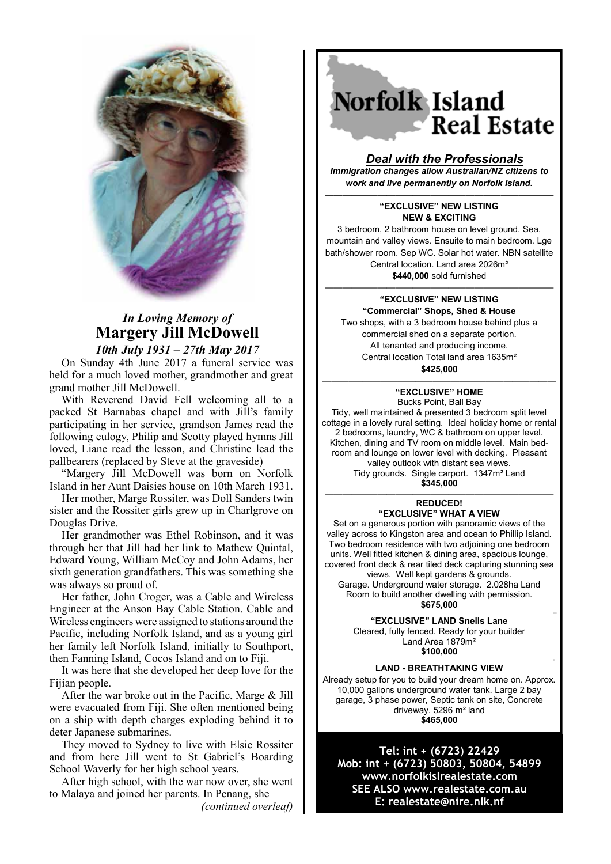

# *In Loving Memory of* **Margery Jill McDowell** *10th July 1931 – 27th May 2017*

On Sunday 4th June 2017 a funeral service was held for a much loved mother, grandmother and great grand mother Jill McDowell.

With Reverend David Fell welcoming all to a packed St Barnabas chapel and with Jill's family participating in her service, grandson James read the following eulogy, Philip and Scotty played hymns Jill loved, Liane read the lesson, and Christine lead the pallbearers (replaced by Steve at the graveside)

"Margery Jill McDowell was born on Norfolk Island in her Aunt Daisies house on 10th March 1931.

Her mother, Marge Rossiter, was Doll Sanders twin sister and the Rossiter girls grew up in Charlgrove on Douglas Drive.

Her grandmother was Ethel Robinson, and it was through her that Jill had her link to Mathew Quintal, Edward Young, William McCoy and John Adams, her sixth generation grandfathers. This was something she was always so proud of.

Her father, John Croger, was a Cable and Wireless Engineer at the Anson Bay Cable Station. Cable and Wireless engineers were assigned to stations around the Pacific, including Norfolk Island, and as a young girl her family left Norfolk Island, initially to Southport, then Fanning Island, Cocos Island and on to Fiji.

It was here that she developed her deep love for the Fijian people.

After the war broke out in the Pacific, Marge & Jill were evacuated from Fiji. She often mentioned being on a ship with depth charges exploding behind it to deter Japanese submarines.

They moved to Sydney to live with Elsie Rossiter and from here Jill went to St Gabriel's Boarding School Waverly for her high school years.

After high school, with the war now over, she went to Malaya and joined her parents. In Penang, she

*(continued overleaf)*

# Norfolk Island Real Estate

## *Deal with the Professionals*

*Immigration changes allow Australian/NZ citizens to work and live permanently on Norfolk Island.*

#### *——————————————————————————* **―EXCLUSIVE‖ NEW LISTING NEW & EXCITING**

3 bedroom, 2 bathroom house on level ground. Sea, mountain and valley views. Ensuite to main bedroom. Lge bath/shower room. Sep WC. Solar hot water. NBN satellite Central location. Land area 2026m² **\$440,000** sold furnished

#### —————————————————————————— **―EXCLUSIVE‖ NEW LISTING ―Commercial‖ Shops, Shed & House**

Two shops, with a 3 bedroom house behind plus a commercial shed on a separate portion. All tenanted and producing income. Central location Total land area 1635m² **\$425,000**

### ————–—————————————————————— **―EXCLUSIVE‖ HOME**

Bucks Point, Ball Bay Tidy, well maintained & presented 3 bedroom split level cottage in a lovely rural setting. Ideal holiday home or rental 2 bedrooms, laundry, WC & bathroom on upper level. Kitchen, dining and TV room on middle level. Main bedroom and lounge on lower level with decking. Pleasant valley outlook with distant sea views. Tidy grounds. Single carport. 1347m² Land **\$345,000**

#### —————————————————————————— **REDUCED! ―EXCLUSIVE‖ WHAT A VIEW**

Set on a generous portion with panoramic views of the valley across to Kingston area and ocean to Phillip Island. Two bedroom residence with two adjoining one bedroom units. Well fitted kitchen & dining area, spacious lounge, covered front deck & rear tiled deck capturing stunning sea views. Well kept gardens & grounds. Garage. Underground water storage. 2.028ha Land Room to build another dwelling with permission.<br>\$675.000 **\$675,000 ——————————————————————————————————————————--**

**―EXCLUSIVE‖ LAND Snells Lane** Cleared, fully fenced. Ready for your builder Land Area 1879m² **\$100,000**

#### **——————————————————————————–———————————————- LAND - BREATHTAKING VIEW**

Already setup for you to build your dream home on. Approx. 10,000 gallons underground water tank. Large 2 bay garage, 3 phase power, Septic tank on site, Concrete driveway. 5296 m² land **\$465,000**

**Tel: int + (6723) 22429 Mob: int + (6723) 50803, 50804, 54899 www.norfolkislrealestate.com SEE ALSO www.realestate.com.au E: realestate@nire.nlk.nf**